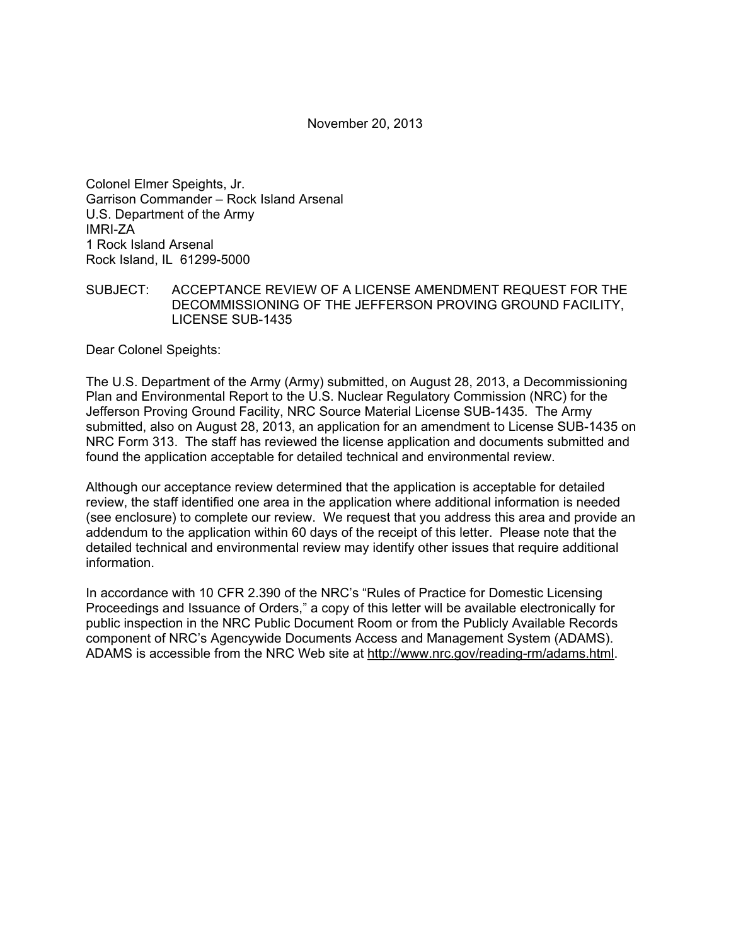November 20, 2013

Colonel Elmer Speights, Jr. Garrison Commander – Rock Island Arsenal U.S. Department of the Army IMRI-ZA 1 Rock Island Arsenal Rock Island, IL 61299-5000

SUBJECT: ACCEPTANCE REVIEW OF A LICENSE AMENDMENT REQUEST FOR THE DECOMMISSIONING OF THE JEFFERSON PROVING GROUND FACILITY, LICENSE SUB-1435

Dear Colonel Speights:

The U.S. Department of the Army (Army) submitted, on August 28, 2013, a Decommissioning Plan and Environmental Report to the U.S. Nuclear Regulatory Commission (NRC) for the Jefferson Proving Ground Facility, NRC Source Material License SUB-1435. The Army submitted, also on August 28, 2013, an application for an amendment to License SUB-1435 on NRC Form 313. The staff has reviewed the license application and documents submitted and found the application acceptable for detailed technical and environmental review.

Although our acceptance review determined that the application is acceptable for detailed review, the staff identified one area in the application where additional information is needed (see enclosure) to complete our review. We request that you address this area and provide an addendum to the application within 60 days of the receipt of this letter. Please note that the detailed technical and environmental review may identify other issues that require additional information.

In accordance with 10 CFR 2.390 of the NRC's "Rules of Practice for Domestic Licensing Proceedings and Issuance of Orders," a copy of this letter will be available electronically for public inspection in the NRC Public Document Room or from the Publicly Available Records component of NRC's Agencywide Documents Access and Management System (ADAMS). ADAMS is accessible from the NRC Web site at http://www.nrc.gov/reading-rm/adams.html.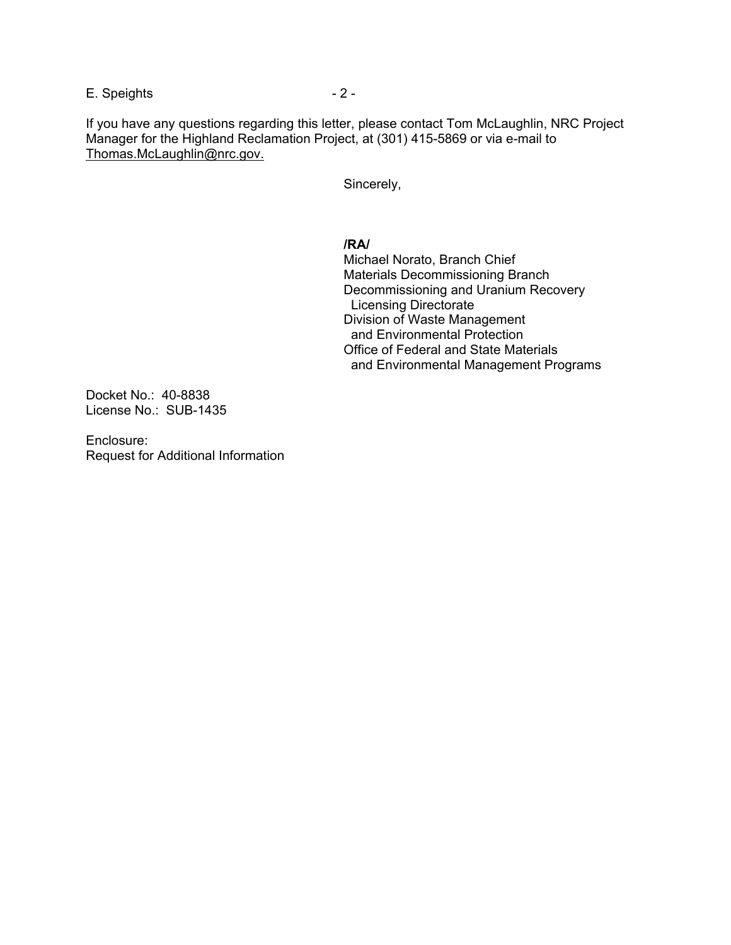E. Speights - 2 -

If you have any questions regarding this letter, please contact Tom McLaughlin, NRC Project Manager for the Highland Reclamation Project, at (301) 415-5869 or via e-mail to Thomas.McLaughlin@nrc.gov.

Sincerely,

## **/RA/**

 Michael Norato, Branch Chief Materials Decommissioning Branch Decommissioning and Uranium Recovery Licensing Directorate Division of Waste Management and Environmental Protection Office of Federal and State Materials and Environmental Management Programs

Docket No.: 40-8838 License No.: SUB-1435

Enclosure: Request for Additional Information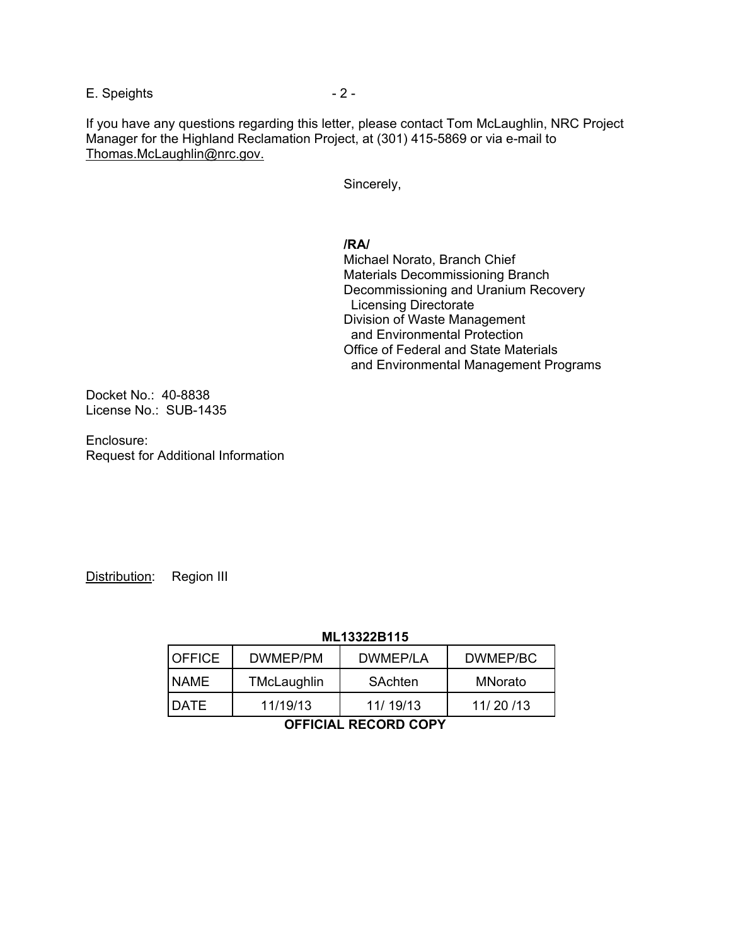E. Speights - 2 -

If you have any questions regarding this letter, please contact Tom McLaughlin, NRC Project Manager for the Highland Reclamation Project, at (301) 415-5869 or via e-mail to Thomas.McLaughlin@nrc.gov.

Sincerely,

## **/RA/**

 Michael Norato, Branch Chief Materials Decommissioning Branch Decommissioning and Uranium Recovery Licensing Directorate Division of Waste Management and Environmental Protection Office of Federal and State Materials and Environmental Management Programs

Docket No.: 40-8838 License No.: SUB-1435

Enclosure: Request for Additional Information

Distribution: Region III

## **ML13322B115**

| <b>OFFICE</b> | DWMEP/PM    | DWMFP/LA  | DWMEP/BC |
|---------------|-------------|-----------|----------|
| <b>NAME</b>   | TMcLaughlin | SAchten   | MNorato  |
| <b>DATE</b>   | 11/19/13    | 11/ 19/13 | 11/20/13 |

**OFFICIAL RECORD COPY**